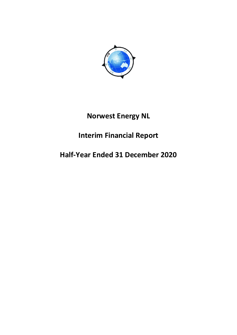

# **Norwest Energy NL**

# **Interim Financial Report**

# **Half-Year Ended 31 December 2020**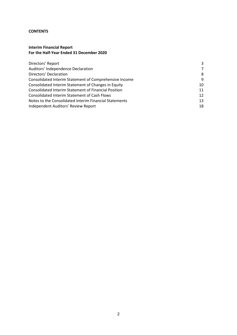#### **CONTENTS**

## **Interim Financial Report For the Half-Year Ended 31 December 2020**

| Directors' Report                                           | 3  |
|-------------------------------------------------------------|----|
| Auditors' Independence Declaration                          | 7  |
| Directors' Declaration                                      | 8  |
| Consolidated Interim Statement of Comprehensive Income      | 9  |
| Consolidated Interim Statement of Changes in Equity         | 10 |
| <b>Consolidated Interim Statement of Financial Position</b> | 11 |
| <b>Consolidated Interim Statement of Cash Flows</b>         | 12 |
| Notes to the Consolidated Interim Financial Statements      | 13 |
| Independent Auditors' Review Report                         | 18 |
|                                                             |    |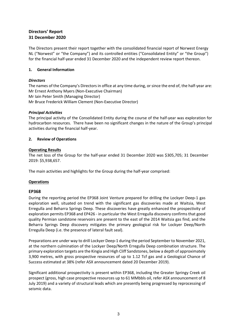# **Directors' Report 31 December 2020**

The Directors present their report together with the consolidated financial report of Norwest Energy NL ("Norwest" or "the Company") and its controlled entities ("Consolidated Entity" or "the Group") for the financial half-year ended 31 December 2020 and the independent review report thereon.

## **1. General Information**

## *Directors*

The names of the Company's Directors in office at any time during, or since the end of, the half-year are: Mr Ernest Anthony Myers (Non-Executive Chairman) Mr Iain Peter Smith (Managing Director) Mr Bruce Frederick William Clement (Non-Executive Director)

## *Principal Activities*

The principal activity of the Consolidated Entity during the course of the half-year was exploration for hydrocarbon resources. There have been no significant changes in the nature of the Group's principal activities during the financial half-year.

## **2. Review of Operations**

## **Operating Results**

The net loss of the Group for the half-year ended 31 December 2020 was \$305,705; 31 December 2019: \$5,938,657.

The main activities and highlights for the Group during the half-year comprised:

## **Operations**

## **EP368**

During the reporting period the EP368 Joint Venture prepared for drilling the Lockyer Deep-1 gas exploration well, situated on trend with the significant gas discoveries made at Waitsia, West Erregulla and Beharra Springs Deep. These discoveries have greatly enhanced the prospectivity of exploration permits EP368 and EP426 - in particular the West Erregulla discovery confirms that good quality Permian sandstone reservoirs are present to the east of the 2014 Waitsia gas find, and the Beharra Springs Deep discovery mitigates the primary geological risk for Lockyer Deep/North Erregulla Deep (i.e. the presence of lateral fault seal).

Preparations are under way to drill Lockyer Deep-1 during the period September to November 2021, at the northern culmination of the Lockyer Deep/North Erregulla Deep combination structure. The primary exploration targets are the Kingia and High Cliff Sandstones, below a depth of approximately 3,900 metres, with gross prospective resources of up to 1.12 Tcf gas and a Geological Chance of Success estimated at 38% (refer ASX announcement dated 20 December 2019).

Significant additional prospectivity is present within EP368, including the Greater Springy Creek oil prospect (gross, high case prospective resources up to 61 MMbbls oil, refer ASX announcement of 8 July 2019) and a variety of structural leads which are presently being progressed by reprocessing of seismic data.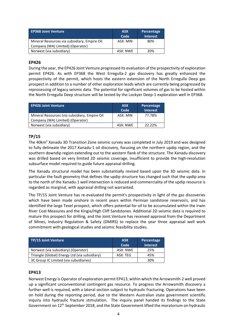| <b>EP368 Joint Venture</b>                   | <b>ASX</b><br>Code | Percentage<br><b>Interest</b> |
|----------------------------------------------|--------------------|-------------------------------|
| Mineral Resources via subsidiary, Empire Oil | ASX: MIN           | 80%                           |
| Company (WA) Limited) (Operator)             |                    |                               |
| Norwest (via subsidiary)                     | ASX: NWE           | 20%                           |

## **EP426**

During the year, the EP426 Joint Venture progressed its evaluation of the prospectivity of exploration permit EP426. As with EP368 the West Erregulla-2 gas discovery has greatly enhanced the prospectivity of the permit, which hosts the eastern extension of the North Erregulla Deep gas prospect in addition to a number of other exploration leads which are currently being progressed by reprocessing of legacy seismic data. The potential for significant volumes of gas to be hosted within the North Erregulla Deep structure will be tested by the Lockyer Deep-1 exploration well in EP368.

| <b>EP426 Joint Venture</b>                    | <b>ASX</b><br>Code | Percentage<br><b>Interest</b> |
|-----------------------------------------------|--------------------|-------------------------------|
| Mineral Resources (via subsidiary, Empire Oil | ASX: MIN           | 77.78%                        |
| Company (WA) Limited) (Operator)              |                    |                               |
| Norwest (via subsidiary)                      | ASX: NWE           | 22.22%                        |

## **TP/15**

The 40km2 Xanadu 3D Transition Zone seismic survey was completed in July 2019 and was designed to fully delineate the 2017 Xanadu-1 oil discovery, focusing on the northern updip region, and the southern downdip region extending out to the western flank of the structure. The Xanadu discovery was drilled based on very limited 2D seismic coverage, insufficient to provide the high-resolution subsurface model required to guide future appraisal drilling.

The Xanadu structural model has been substantially revised based upon the 3D seismic data. In particular the fault geometry that defines the updip structure has changed such that the updip area to the north of the Xanadu-1 well intersection is reduced and commerciality of the updip resource is regarded as marginal, with appraisal drilling not warranted.

The TP/15 Joint Venture has re-evaluated the permit's prospectivity in light of the gas discoveries which have been made onshore in recent years within Permian sandstone reservoirs, and has identified the large Texel prospect, which offers potential for oil to be accumulated within the Irwin River Coal Measures and the Kingia/High Cliff Sandstones. Additional 2D seismic data is required to mature this prospect for drilling, and the Joint Venture has received approval from the Department of Mines, Industry Regulation & Safety (DMIRS) to replace the year three appraisal well work commitment with geological studies and seismic feasibility studies.

| TP/15 Joint Venture                           | <b>ASX</b><br>Code | Percentage<br><b>Interest</b> |
|-----------------------------------------------|--------------------|-------------------------------|
| Norwest (via subsidiary) (Operator)           | ASX: NWE           | 25%                           |
| Triangle (Global) Energy Ltd (via subsidiary) | ASX: TEG           | 45%                           |
| 3C Group IC Limited (via subsidiaries)        |                    | 30%                           |

## **EP413**

Norwest Energy is Operator of exploration permit EP413, within which the Arrowsmith-2 well proved up a significant unconventional contingent gas resource. To progress the Arrowsmith discovery a further well is required, with a lateral section subject to hydraulic fracturing. Operations have been on hold during the reporting period, due to the Western Australian state government scientific inquiry into hydraulic fracture stimulation. The inquiry panel handed its findings to the State Government on 12<sup>th</sup> September 2018, and the State Government lifted the moratorium on hydraulic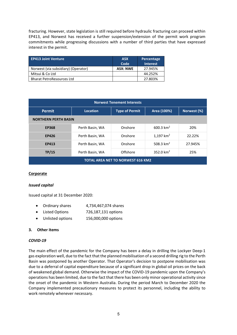fracturing. However, state legislation is still required before hydraulic fracturing can proceed within EP413, and Norwest has received a further suspension/extension of the permit work program commitments while progressing discussions with a number of third parties that have expressed interest in the permit.

| <b>EP413 Joint Venture</b>          | <b>ASX</b><br>Code | Percentage<br><b>Interest</b> |
|-------------------------------------|--------------------|-------------------------------|
| Norwest (via subsidiary) (Operator) | <b>ASX: NWE</b>    | 27.945%                       |
| Mitsui & Co Ltd                     |                    | 44.252%                       |
| <b>Bharat PetroResources Ltd</b>    |                    | 27.803%                       |

| <b>Norwest Tenement Interests</b>        |                 |                       |              |             |
|------------------------------------------|-----------------|-----------------------|--------------|-------------|
| <b>Permit</b>                            | <b>Location</b> | <b>Type of Permit</b> | Area (100%)  | Norwest (%) |
| <b>NORTHERN PERTH BASIN</b>              |                 |                       |              |             |
| <b>EP368</b>                             | Perth Basin, WA | Onshore               | 600.3 $km^2$ | 20%         |
| <b>EP426</b>                             | Perth Basin, WA | Onshore               | 1,197 $km^2$ | 22.22%      |
| <b>EP413</b>                             | Perth Basin, WA | Onshore               | 508.3 $km^2$ | 27.945%     |
| TP/15                                    | Perth Basin, WA | Offshore              | 352.0 $km^2$ | 25%         |
| <b>TOTAL AREA NET TO NORWEST 616 KM2</b> |                 |                       |              |             |

## **Corporate**

#### *Issued capital*

Issued capital at 31 December 2020:

- Ordinary shares 4,734,467,074 shares
- Listed Options 726,187,131 options
- Unlisted options 156,000,000 options

#### **3. Other items**

#### *COVID-19*

The main effect of the pandemic for the Company has been a delay in drilling the Lockyer Deep-1 gas exploration well, due to the fact that the planned mobilisation of a second drilling rig to the Perth Basin was postponed by another Operator. That Operator's decision to postpone mobilisation was due to a deferral of capital expenditure because of a significant drop in global oil prices on the back of weakened global demand. Otherwise the impact of the COVID-19 pandemic upon the Company's operations has been limited, due to the fact that there has been only minor operational activity since the onset of the pandemic in Western Australia. During the period March to December 2020 the Company implemented precautionary measures to protect its personnel, including the ability to work remotely whenever necessary.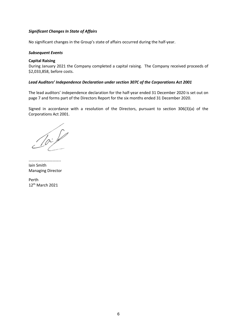### *Significant Changes In State of Affairs*

No significant changes in the Group's state of affairs occurred during the half-year.

#### *Subsequent Events*

#### **Capital Raising**

During January 2021 the Company completed a capital raising. The Company received proceeds of \$2,033,858, before costs.

#### *Lead Auditors' Independence Declaration under section 307C of the Corporations Act 2001*

The lead auditors' independence declaration for the half-year ended 31 December 2020 is set out on page 7 and forms part of the Directors Report for the six months ended 31 December 2020.

Signed in accordance with a resolution of the Directors, pursuant to section 306(3)(a) of the Corporations Act 2001.

 $10 - 10$ 

………………………….. Iain Smith Managing Director

Perth 12th March 2021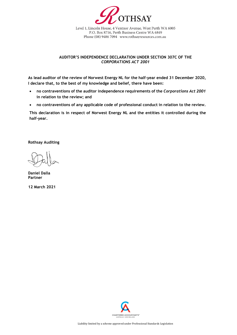

Level 1, Lincoln House, 4 Ventnor Avenue, West Perth WA 6005 P.O. Box 8716, Perth Business Centre WA 6849 Phone (08) 9486 7094 www.rothsayresources.com.au

#### **AUDITOR'S INDEPENDENCE DECLARATION UNDER SECTION 307C OF THE**  *CORPORATIONS ACT 2001*

**As lead auditor of the review of Norwest Energy NL for the half-year ended 31 December 2020, I declare that, to the best of my knowledge and belief, there have been:**

- **no contraventions of the auditor independence requirements of the** *Corporations Act 2001* **in relation to the review; and**
- **no contraventions of any applicable code of professional conduct in relation to the review.**

**This declaration is in respect of Norwest Energy NL and the entities it controlled during the half-year.**

**Rothsay Auditing**

**Daniel Dalla Partner**

**12 March 2021**

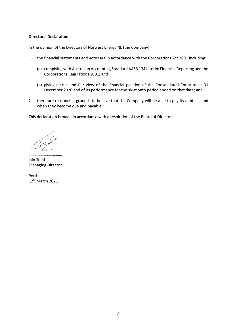#### **Directors' Declaration**

In the opinion of the Directors of Norwest Energy NL (the Company):

- 1. the financial statements and notes are in accordance with the Corporations Act 2001 including:
	- (a) complying with Australian Accounting Standard AASB 134 Interim Financial Reporting and the Corporations Regulations 2001; and
	- (b) giving a true and fair view of the financial position of the Consolidated Entity as at 31 December 2020 and of its performance for the six-month period ended on that date; and
- 2. there are reasonable grounds to believe that the Company will be able to pay its debts as and when they become due and payable.

This declaration is made in accordance with a resolution of the Board of Directors.

…………………………… Iain Smith Managing Director

Perth 12th March 2021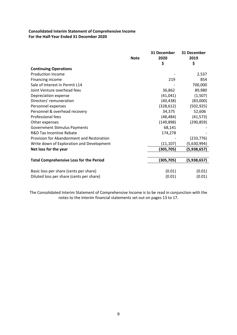## **Consolidated Interim Statement of Comprehensive Income For the Half-Year Ended 31 December 2020**

|                                                | <b>Note</b> | 31 December<br>2020<br>\$ | 31 December<br>2019<br>\$ |
|------------------------------------------------|-------------|---------------------------|---------------------------|
| <b>Continuing Operations</b>                   |             |                           |                           |
| <b>Production Income</b>                       |             |                           | 2,537                     |
| Financing income                               |             | 219                       | 854                       |
| Sale of Interest in Permit L14                 |             |                           | 700,000                   |
| Joint Venture overhead fees                    |             | 36,862                    | 89,980                    |
| Depreciation expense                           |             | (41, 041)                 | (1,507)                   |
| Directors' remuneration                        |             | (40, 438)                 | (83,000)                  |
| Personnel expenses                             |             | (328, 612)                | (502, 925)                |
| Personnel & overhead recovery                  |             | 34,375                    | 52,606                    |
| <b>Professional fees</b>                       |             | (48, 484)                 | (41, 573)                 |
| Other expenses                                 |             | (149, 898)                | (290, 859)                |
| <b>Government Stimulus Payments</b>            |             | 68,141                    |                           |
| <b>R&amp;D Tax Incentive Rebate</b>            |             | 174,278                   |                           |
| Provision for Abandonment and Restoration      |             |                           | (233, 776)                |
| Write down of Exploration and Development      |             | (11, 107)                 | (5,630,994)               |
| Net loss for the year                          |             | (305,705)                 | (5,938,657)               |
|                                                |             |                           |                           |
| <b>Total Comprehensive Loss for the Period</b> |             | (305, 705)                | (5,938,657)               |
|                                                |             |                           |                           |
| Basic loss per share (cents per share)         |             | (0.01)                    | (0.01)                    |
| Diluted loss per share (cents per share)       |             | (0.01)                    | (0.01)                    |

The Consolidated Interim Statement of Comprehensive Income is to be read in conjunction with the notes to the interim financial statements set out on pages 13 to 17.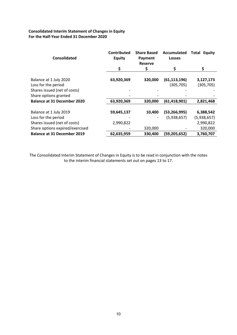## **Consolidated Interim Statement of Changes in Equity For the Half-Year Ended 31 December 2020**

| <b>Consolidated</b>                           | <b>Contributed</b><br><b>Equity</b> | <b>Share Based</b><br>Payment<br><b>Reserve</b> | Accumulated<br><b>Losses</b> | Total<br><b>Equity</b>  |
|-----------------------------------------------|-------------------------------------|-------------------------------------------------|------------------------------|-------------------------|
|                                               | \$                                  | \$                                              | \$                           | \$                      |
| Balance at 1 July 2020<br>Loss for the period | 63,920,369                          | 320,000                                         | (61, 113, 196)<br>(305, 705) | 3,127,173<br>(305, 705) |
| Shares issued (net of costs)                  |                                     |                                                 |                              |                         |
| Share options granted                         |                                     |                                                 |                              |                         |
| <b>Balance at 31 December 2020</b>            | 63,920,369                          | 320,000                                         | (61, 418, 901)               | 2,821,468               |
|                                               |                                     |                                                 |                              |                         |
| Balance at 1 July 2019                        | 59,645,137                          | 10,400                                          | (53, 266, 995)               | 6,388,542               |
| Loss for the period                           |                                     |                                                 | (5,938,657)                  | (5,938,657)             |
| Shares issued (net of costs)                  | 2,990,822                           |                                                 |                              | 2,990,822               |
| Share options expired/exercised               |                                     | 320,000                                         |                              | 320,000                 |
| <b>Balance at 31 December 2019</b>            | 62,635,959                          | 330,400                                         | (59,205,652)                 | 3,760,707               |

The Consolidated Interim Statement of Changes in Equity is to be read in conjunction with the notes to the interim financial statements set out on pages 13 to 17.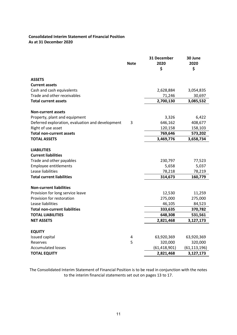## **Consolidated Interim Statement of Financial Position As at 31 December 2020**

|                                                  | <b>Note</b> | 31 December<br>2020 | 30 June<br>2020 |
|--------------------------------------------------|-------------|---------------------|-----------------|
|                                                  |             | \$                  | \$              |
| <b>ASSETS</b>                                    |             |                     |                 |
| <b>Current assets</b>                            |             |                     |                 |
| Cash and cash equivalents                        |             | 2,628,884           | 3,054,835       |
| Trade and other receivables                      |             | 71,246              | 30,697          |
| <b>Total current assets</b>                      |             | 2,700,130           | 3,085,532       |
| <b>Non-current assets</b>                        |             |                     |                 |
| Property, plant and equipment                    |             | 3,326               | 6,422           |
| Deferred exploration, evaluation and development | 3           | 646,162             | 408,677         |
| Right of use asset                               |             | 120,158             | 158,103         |
| <b>Total non-current assets</b>                  |             | 769,646             | 573,202         |
| <b>TOTAL ASSETS</b>                              |             | 3,469,776           | 3,658,734       |
| <b>LIABILITIES</b><br><b>Current liabilities</b> |             |                     |                 |
| Trade and other payables                         |             | 230,797             | 77,523          |
| <b>Employee entitlements</b>                     |             | 5,658               | 5,037           |
| Lease liabilities                                |             | 78,218              | 78,219          |
| <b>Total current liabilities</b>                 |             | 314,673             | 160,779         |
| <b>Non-current liabilities</b>                   |             |                     |                 |
| Provision for long service leave                 |             | 12,530              | 11,259          |
| Provision for restoration                        |             | 275,000             | 275,000         |
| Lease liabilities                                |             | 46,105              | 84,523          |
| <b>Total non-current liabilities</b>             |             | 333,635             | 370,782         |
| <b>TOTAL LIABILITIES</b>                         |             | 648,308             | 531,561         |
| <b>NET ASSETS</b>                                |             | 2,821,468           | 3,127,173       |
|                                                  |             |                     |                 |
| <b>EQUITY</b><br>Issued capital                  | 4           | 63,920,369          | 63,920,369      |
| Reserves                                         | 5           | 320,000             | 320,000         |
| <b>Accumulated losses</b>                        |             | (61, 418, 901)      | (61, 113, 196)  |
| <b>TOTAL EQUITY</b>                              |             | 2,821,468           | 3,127,173       |

The Consolidated Interim Statement of Financial Position is to be read in conjunction with the notes to the interim financial statements set out on pages 13 to 17.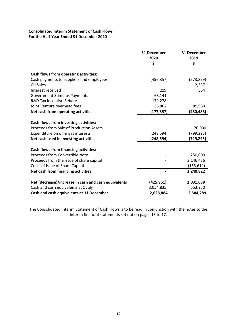## **Consolidated Interim Statement of Cash Flows For the Half-Year Ended 31 December 2020**

|                                                              | 31 December<br>2020<br>\$ | 31 December<br>2019<br>\$ |
|--------------------------------------------------------------|---------------------------|---------------------------|
|                                                              |                           |                           |
| Cash flows from operating activities:                        |                           |                           |
| Cash payments to suppliers and employees<br><b>Oil Sales</b> | (456, 857)                | (573, 859)<br>2,537       |
| Interest received                                            | 219                       | 854                       |
| <b>Government Stimulus Payments</b>                          | 68,141                    |                           |
| <b>R&amp;D Tax Incentive Rebate</b>                          | 174,278                   |                           |
| Joint Venture overhead fees                                  | 36,862                    | 89,980                    |
| Net cash from operating activities                           | (177,357)                 | (480,488)                 |
|                                                              |                           |                           |
| Cash flows from investing activities:                        |                           |                           |
| Proceeds from Sale of Production Assets                      |                           | 70,000                    |
| Expenditure on oil & gas interests                           | (248,594)                 | (799,295)                 |
| Net cash used in investing activities                        | (248,594)                 | (729,295)                 |
| <b>Cash flows from financing activities:</b>                 |                           |                           |
| Proceeds from Convertible Note                               |                           | 250,000                   |
| Proceeds from the issue of share capital                     |                           | 3,146,436                 |
| Costs of issue of Share Capital                              |                           | (155, 614)                |
| Net cash from financing activities                           |                           | 3,240,822                 |
| Net (decrease)/increase in cash and cash equivalents         | (425, 951)                | 2,031,039                 |
| Cash and cash equivalents at 1 July                          | 3,054,835                 | 553,250                   |
| Cash and cash equivalents at 31 December                     | 2,628,884                 | 2,584,289                 |

The Consolidated Interim Statement of Cash Flows is to be read in conjunction with the notes to the interim financial statements set out on pages 13 to 17.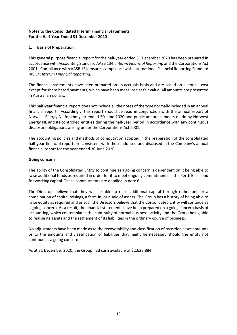## **1. Basis of Preparation**

This general purpose financial report for the half-year ended 31 December 2020 has been prepared in accordance with Accounting Standard AASB 134: *Interim Financial Reporting* and the Corporations Act 2001. Compliance with AASB 134 ensures compliance with International Financial Reporting Standard IAS 34: *Interim Financial Reporting*.

The financial statements have been prepared on an accruals basis and are based on historical cost except for share based payments, which have been measured at fair value. All amounts are presented in Australian dollars.

This half-year financial report does not include all the notes of the type normally included in an annual financial report. Accordingly, this report should be read in conjunction with the annual report of Norwest Energy NL for the year ended 30 June 2020 and public announcements made by Norwest Energy NL and its controlled entities during the half-year period in accordance with any continuous disclosure obligations arising under the Corporations Act 2001.

The accounting policies and methods of computation adopted in the preparation of the consolidated half-year financial report are consistent with those adopted and disclosed in the Company's annual financial report for the year ended 30 June 2020.

## **Going concern**

The ability of the Consolidated Entity to continue as a going concern is dependent on it being able to raise additional funds as required in order for it to meet ongoing commitments in the Perth Basin and for working capital. These commitments are detailed in note 6.

The Directors believe that they will be able to raise additional capital through either one or a combination of capital raisings, a farm-in, or a sale of assets. The Group has a history of being able to raise equity as required and as such the Directors believe that the Consolidated Entity will continue as a going concern. As a result, the financial statements have been prepared on a going concern basis of accounting, which contemplates the continuity of normal business activity and the Group being able to realise its assets and the settlement of its liabilities in the ordinary course of business.

No adjustments have been made as to the recoverability and classification of recorded asset amounts or to the amounts and classification of liabilities that might be necessary should the entity not continue as a going concern.

As at 31 December 2020, the Group had cash available of \$2,628,884.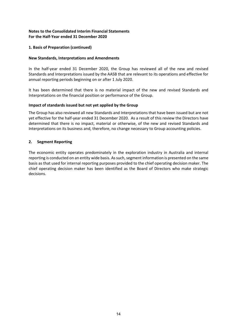## **1. Basis of Preparation (continued)**

#### **New Standards, Interpretations and Amendments**

In the half-year ended 31 December 2020, the Group has reviewed all of the new and revised Standards and Interpretations issued by the AASB that are relevant to its operations and effective for annual reporting periods beginning on or after 1 July 2020.

It has been determined that there is no material impact of the new and revised Standards and Interpretations on the financial position or performance of the Group.

#### **Impact of standards issued but not yet applied by the Group**

The Group has also reviewed all new Standards and Interpretations that have been issued but are not yet effective for the half-year ended 31 December 2020. As a result of this review the Directors have determined that there is no impact, material or otherwise, of the new and revised Standards and Interpretations on its business and, therefore, no change necessary to Group accounting policies.

#### **2. Segment Reporting**

The economic entity operates predominately in the exploration industry in Australia and internal reporting is conducted on an entity wide basis. As such, segment information is presented on the same basis as that used for internal reporting purposes provided to the chief operating decision maker. The chief operating decision maker has been identified as the Board of Directors who make strategic decisions.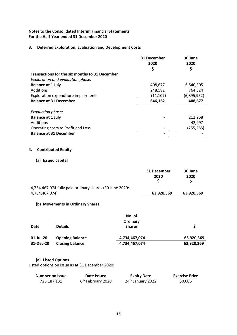### **3. Deferred Exploration, Evaluation and Development Costs**

|                                                | 31 December<br>2020 | 30 June<br>2020 |
|------------------------------------------------|---------------------|-----------------|
|                                                | \$                  | \$              |
| Transactions for the six months to 31 December |                     |                 |
| Exploration and evaluation phase:              |                     |                 |
| <b>Balance at 1 July</b>                       | 408,677             | 6,540,305       |
| Additions                                      | 248,592             | 764,324         |
| Exploration expenditure impairment             | (11, 107)           | (6,895,952)     |
| <b>Balance at 31 December</b>                  | 646,162             | 408,677         |
| Production phase:                              |                     |                 |
| <b>Balance at 1 July</b>                       |                     | 212,268         |
| Additions                                      |                     | 42,997          |
| Operating costs to Profit and Loss             |                     | (255, 265)      |
| <b>Balance at 31 December</b>                  |                     |                 |
|                                                |                     |                 |

# **4. Contributed Equity**

## **(a) Issued capital**

|                                                         | 31 December<br>2020 | 30 June<br>2020 |
|---------------------------------------------------------|---------------------|-----------------|
| 4,734,467,074 fully paid ordinary shares (30 June 2020: |                     |                 |
| 4,734,467,074)                                          | 63,920,369          | 63,920,369      |

#### **(b) Movements in Ordinary Shares**

|           |                        | No. of<br>Ordinary |            |
|-----------|------------------------|--------------------|------------|
| Date      | <b>Details</b>         | <b>Shares</b>      | S          |
| 01-Jul-20 | <b>Opening Balance</b> | 4,734,467,074      | 63,920,369 |
| 31-Dec-20 | <b>Closing balance</b> | 4,734,467,074      | 63,920,369 |

#### **(a) Listed Options**

Listed options on issue as at 31 December 2020:

| <b>Number on Issue</b> | Date Issued                   | <b>Expiry Date</b>            | <b>Exercise Price</b> |
|------------------------|-------------------------------|-------------------------------|-----------------------|
| 726,187,131            | 6 <sup>th</sup> February 2020 | 24 <sup>th</sup> January 2022 | \$0.006               |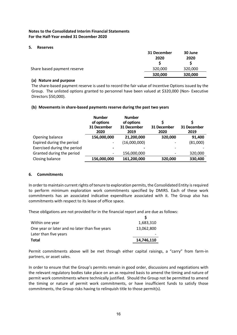#### **5. Reserves**

|                             | 31 December<br>2020 | 30 June<br>2020 |
|-----------------------------|---------------------|-----------------|
| Share based payment reserve | 320,000             | 320,000         |
|                             | 320,000             | 320,000         |

#### **(a) Nature and purpose**

The share-based payment reserve is used to record the fair value of Incentive Options issued by the Group. The unlisted options granted to personnel have been valued at \$320,000 (Non- Executive Directors \$50,000).

#### **(b) Movements in share-based payments reserve during the past two years**

|                             | <b>Number</b><br>of options<br>31 December<br>2020 | <b>Number</b><br>of options<br>31 December<br>2019 | S<br>31 December<br>2020 | 31 December<br>2019 |
|-----------------------------|----------------------------------------------------|----------------------------------------------------|--------------------------|---------------------|
| Opening balance             | 156,000,000                                        | 21,200,000                                         | 320,000                  | 91,400              |
| Expired during the period   |                                                    | (16,000,000)                                       | $\overline{\phantom{a}}$ | (81,000)            |
| Exercised during the period |                                                    |                                                    |                          |                     |
| Granted during the period   |                                                    | 156,000,000                                        |                          | 320,000             |
| Closing balance             | 156,000,000                                        | 161,200,000                                        | 320,000                  | 330,400             |

## **6. Commitments**

In order to maintain current rights of tenure to exploration permits, the Consolidated Entity is required to perform minimum exploration work commitments specified by DMIRS. Each of these work commitments has an associated indicative expenditure associated with it. The Group also has commitments with respect to its lease of office space.

These obligations are not provided for in the financial report and are due as follows:

| 1,683,310  |
|------------|
| 13,062,800 |
|            |
| 14,746,110 |
|            |

Permit commitments above will be met through either capital raisings, a "carry" from farm-in partners, or asset sales.

In order to ensure that the Group's permits remain in good order, discussions and negotiations with the relevant regulatory bodies take place on an as required basis to amend the timing and nature of permit work commitments where technically justified. Should the Group not be permitted to amend the timing or nature of permit work commitments, or have insufficient funds to satisfy those commitments, the Group risks having to relinquish title to those permit(s).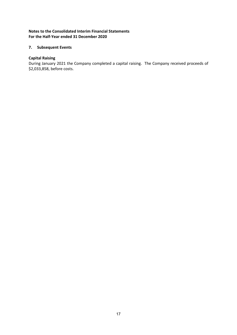## **7. Subsequent Events**

## **Capital Raising**

During January 2021 the Company completed a capital raising. The Company received proceeds of \$2,033,858, before costs.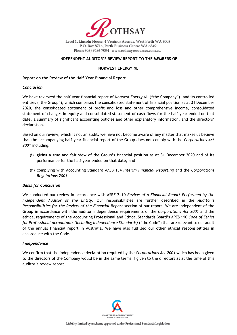

Level 1, Lincoln House, 4 Ventnor Avenue, West Perth WA 6005 P.O. Box 8716, Perth Business Centre WA 6849 Phone (08) 9486 7094 www.rothsayresources.com.au

#### **INDEPENDENT AUDITOR'S REVIEW REPORT TO THE MEMBERS OF**

#### **NORWEST ENERGY NL**

#### **Report on the Review of the Half-Year Financial Report**

#### *Conclusion*

We have reviewed the half-year financial report of Norwest Energy NL ("the Company"), and its controlled entities ("the Group"), which comprises the consolidated statement of financial position as at 31 December 2020, the consolidated statement of profit and loss and other comprehensive income, consolidated statement of changes in equity and consolidated statement of cash flows for the half-year ended on that date, a summary of significant accounting policies and other explanatory information, and the directors' declaration.

Based on our review, which is not an audit, we have not become aware of any matter that makes us believe that the accompanying half-year financial report of the Group does not comply with the *Corporations Act 2001* including:

- (i) giving a true and fair view of the Group's financial position as at 31 December 2020 and of its performance for the half-year ended on that date; and
- (ii) complying with Accounting Standard AASB 134 *Interim Financial Reporting* and the *Corporations Regulations 2001*.

#### *Basis for Conclusion*

We conducted our review in accordance with ASRE 2410 *Review of a Financial Report Performed by the Independent Auditor of the Entity*. Our responsibilities are further described in the *Auditor's Responsibilities for the Review of the Financial Report* section of our report. We are independent of the Group in accordance with the auditor independence requirements of the *Corporations Act 2001* and the ethical requirements of the Accounting Professional and Ethical Standards Board's APES 110 *Code of Ethics for Professional Accountants (including Independence Standards)* ("the Code") that are relevant to our audit of the annual financial report in Australia. We have also fulfilled our other ethical responsibilities in accordance with the Code.

#### *Independence*

We confirm that the independence declaration required by the *Corporations Act 2001* which has been given to the directors of the Company would be in the same terms if given to the directors as at the time of this auditor's review report.